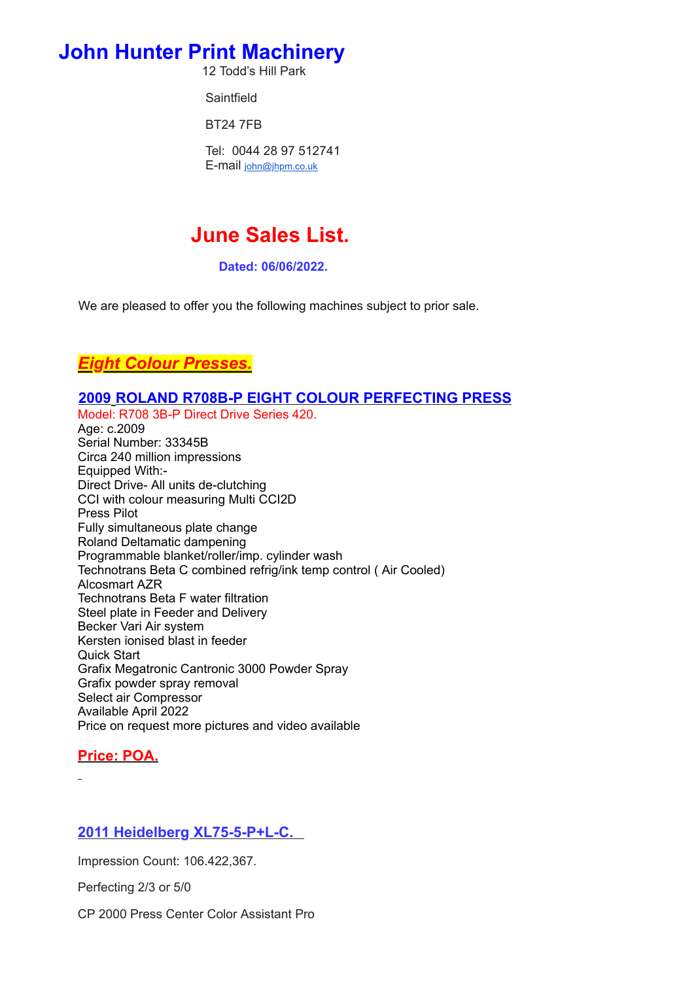# **John Hunter Print Machinery**

12 Todd's Hill Park

**Saintfield** 

BT24 7FB

Tel: 0044 28 97 512741 E-mail [john@jhpm.co.uk](mailto:john@jhpm.co.uk)

# **June Sales List.**

**Dated: 06/06/2022.**

We are pleased to offer you the following machines subject to prior sale.

# *Eight Colour Presses.*

#### **2009 ROLAND R708B-P EIGHT COLOUR PERFECTING PRESS**

Model: R708 3B-P Direct Drive Series 420.

Age: c.2009 Serial Number: 33345B Circa 240 million impressions Equipped With:- Direct Drive- All units de-clutching CCI with colour measuring Multi CCI2D Press Pilot Fully simultaneous plate change Roland Deltamatic dampening Programmable blanket/roller/imp. cylinder wash Technotrans Beta C combined refrig/ink temp control ( Air Cooled) Alcosmart AZR Technotrans Beta F water filtration Steel plate in Feeder and Delivery Becker Vari Air system Kersten ionised blast in feeder Quick Start Grafix Megatronic Cantronic 3000 Powder Spray Grafix powder spray removal Select air Compressor Available April 2022 Price on request more pictures and video available

# **Price: POA.**

## **2011 Heidelberg XL75-5-P+L-C.**

Impression Count: 106.422,367.

Perfecting 2/3 or 5/0

CP 2000 Press Center Color Assistant Pro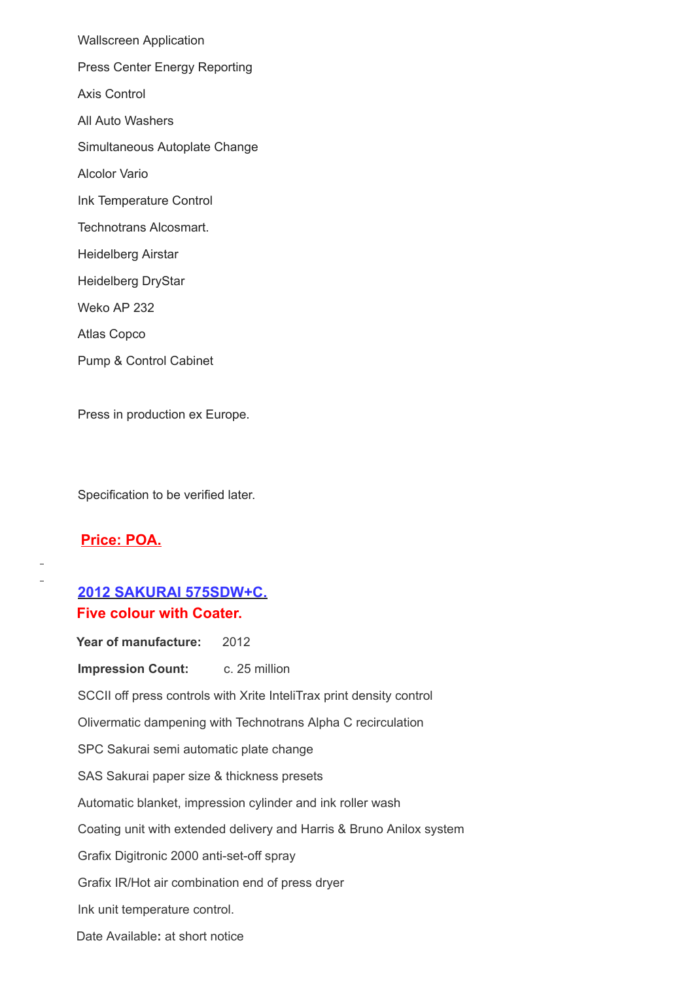Wallscreen Application Press Center Energy Reporting Axis Control All Auto Washers Simultaneous Autoplate Change Alcolor Vario Ink Temperature Control Technotrans Alcosmart. Heidelberg Airstar Heidelberg DryStar Weko AP 232 Atlas Copco Pump & Control Cabinet

Press in production ex Europe.

Specification to be verified later.

#### **Price: POA.**

# **2012 SAKURAI 575SDW+C. Five colour with Coater.**

Year of manufacture: 2012 **Impression Count:** c. 25 million SCCII off press controls with Xrite InteliTrax print density control Olivermatic dampening with Technotrans Alpha C recirculation SPC Sakurai semi automatic plate change SAS Sakurai paper size & thickness presets Automatic blanket, impression cylinder and ink roller wash Coating unit with extended delivery and Harris & Bruno Anilox system Grafix Digitronic 2000 anti-set-off spray Grafix IR/Hot air combination end of press dryer Ink unit temperature control. Date Available**:** at short notice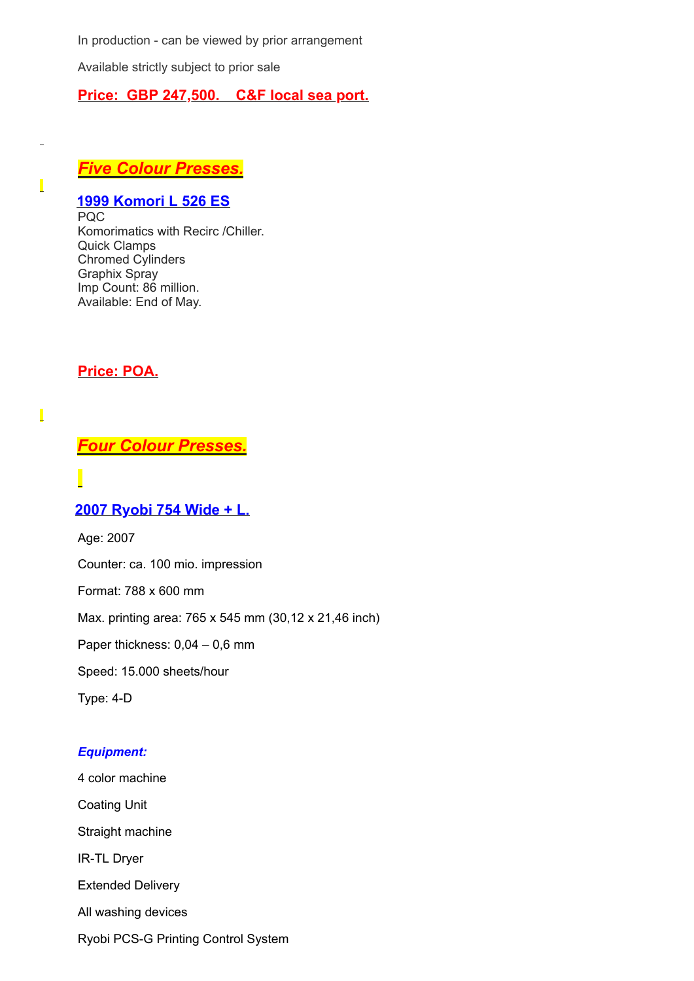In production - can be viewed by prior arrangement

Available strictly subject to prior sale

#### **Price: GBP 247,500. C&F local sea port.**

# *Five Colour Presses.*

# **1999 Komori L 526 ES**

PQC Komorimatics with Recirc /Chiller. Quick Clamps Chromed Cylinders Graphix Spray Imp Count: 86 million. Available: End of May.

**Price: POA.**

# *Four Colour Presses.*

 $\overline{\phantom{a}}$ 

 $\overline{\phantom{a}}$ 

#### **2007 Ryobi 754 Wide + L.**

Age: 2007

Counter: ca. 100 mio. impression

Format: 788 x 600 mm

Max. printing area: 765 x 545 mm (30,12 x 21,46 inch)

Paper thickness: 0,04 – 0,6 mm

Speed: 15.000 sheets/hour

Type: 4-D

#### *Equipment:*

4 color machine Coating Unit Straight machine IR-TL Dryer Extended Delivery All washing devices Ryobi PCS-G Printing Control System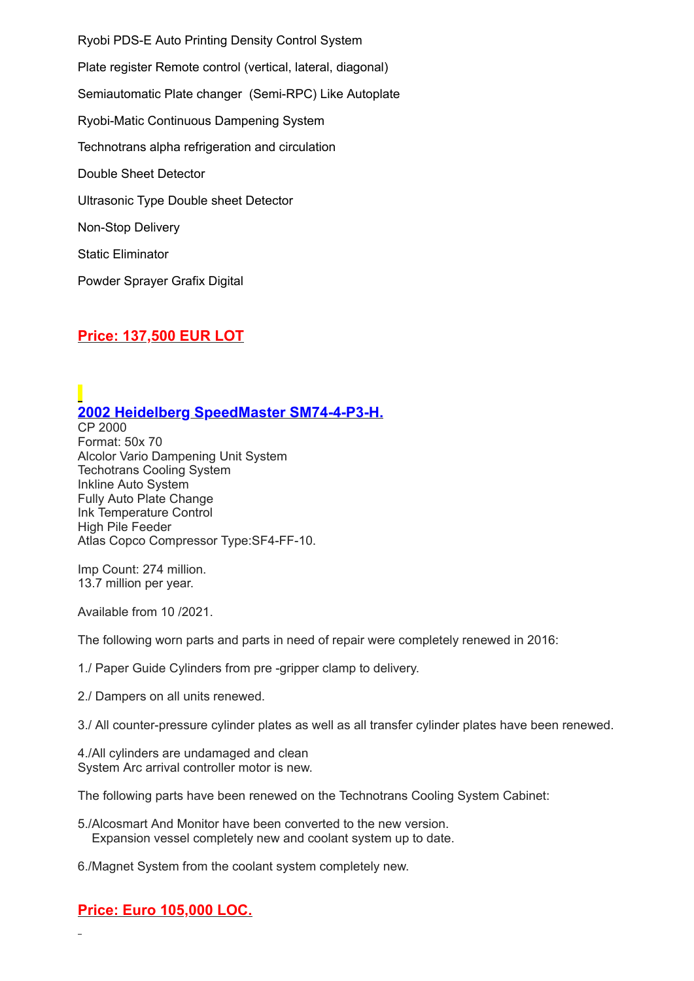Ryobi PDS-E Auto Printing Density Control System Plate register Remote control (vertical, lateral, diagonal) Semiautomatic Plate changer (Semi-RPC) Like Autoplate Ryobi-Matic Continuous Dampening System Technotrans alpha refrigeration and circulation Double Sheet Detector Ultrasonic Type Double sheet Detector Non-Stop Delivery Static Eliminator Powder Sprayer Grafix Digital

## **Price: 137,500 EUR LOT**

# **2002 Heidelberg SpeedMaster SM74-4-P3-H.**

CP 2000 Format: 50x 70 Alcolor Vario Dampening Unit System Techotrans Cooling System Inkline Auto System Fully Auto Plate Change Ink Temperature Control High Pile Feeder Atlas Copco Compressor Type:SF4-FF-10.

Imp Count: 274 million. 13.7 million per year.

Available from 10 /2021.

The following worn parts and parts in need of repair were completely renewed in 2016:

1./ Paper Guide Cylinders from pre -gripper clamp to delivery.

2./ Dampers on all units renewed.

3./ All counter-pressure cylinder plates as well as all transfer cylinder plates have been renewed.

4./All cylinders are undamaged and clean System Arc arrival controller motor is new.

The following parts have been renewed on the Technotrans Cooling System Cabinet:

5./Alcosmart And Monitor have been converted to the new version. Expansion vessel completely new and coolant system up to date.

6./Magnet System from the coolant system completely new.

# **Price: Euro 105,000 LOC.**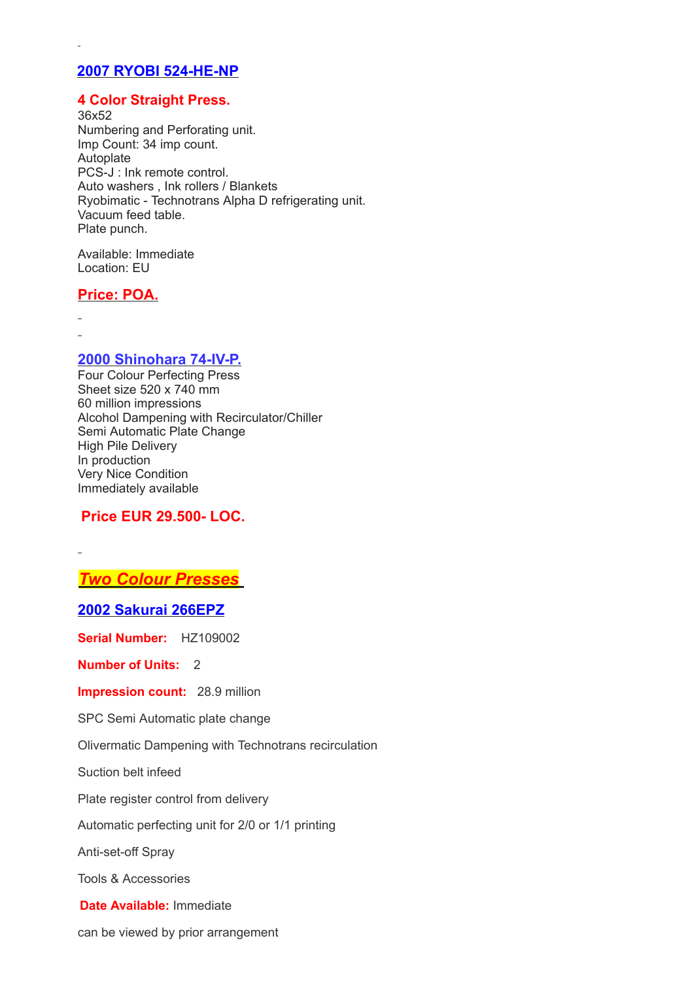### **2007 RYOBI 524-HE-NP**

#### **4 Color Straight Press.**

36x52 Numbering and Perforating unit. Imp Count: 34 imp count. Autoplate PCS-J : Ink remote control. Auto washers , Ink rollers / Blankets Ryobimatic - Technotrans Alpha D refrigerating unit. Vacuum feed table. Plate punch.

Available: Immediate Location: EU

#### **Price: POA.**

**2000 Shinohara 74-IV-P.**

Four Colour Perfecting Press Sheet size 520 x 740 mm 60 million impressions Alcohol Dampening with Recirculator/Chiller Semi Automatic Plate Change High Pile Delivery In production Very Nice Condition Immediately available

#### **Price EUR 29.500- LOC.**

*Two Colour Presses*

**2002 Sakurai 266EPZ**

**Serial Number:** HZ109002

**Number of Units:** 2

**Impression count:** 28.9 million

SPC Semi Automatic plate change

Olivermatic Dampening with Technotrans recirculation

Suction belt infeed

Plate register control from delivery

Automatic perfecting unit for 2/0 or 1/1 printing

Anti-set-off Spray

Tools & Accessories

**Date Available:** Immediate

can be viewed by prior arrangement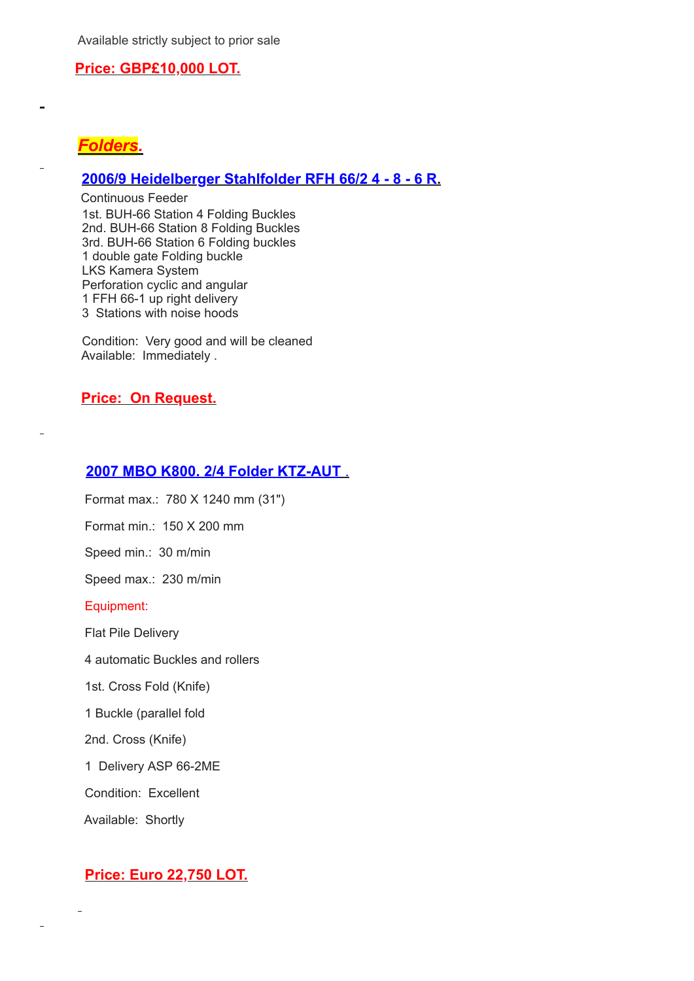Available strictly subject to prior sale

#### **Price: GBP£10,000 LOT.**



## **2006/9 Heidelberger Stahlfolder RFH 66/2 4 - 8 - 6 R.**

Continuous Feeder 1st. BUH-66 Station 4 Folding Buckles 2nd. BUH-66 Station 8 Folding Buckles 3rd. BUH-66 Station 6 Folding buckles 1 double gate Folding buckle LKS Kamera System Perforation cyclic and angular 1 FFH 66-1 up right delivery 3 Stations with noise hoods

Condition: Very good and will be cleaned Available: Immediately .

#### **Price: On Request.**

#### **2007 MBO K800. 2/4 Folder KTZ-AUT** .

Format max.: 780 X 1240 mm (31")

Format min.: 150 X 200 mm

Speed min.: 30 m/min

Speed max.: 230 m/min

Equipment:

Flat Pile Delivery

4 automatic Buckles and rollers

1st. Cross Fold (Knife)

1 Buckle (parallel fold

2nd. Cross (Knife)

1 Delivery ASP 66-2ME

Condition: Excellent

Available: Shortly

#### **Price: Euro 22,750 LOT.**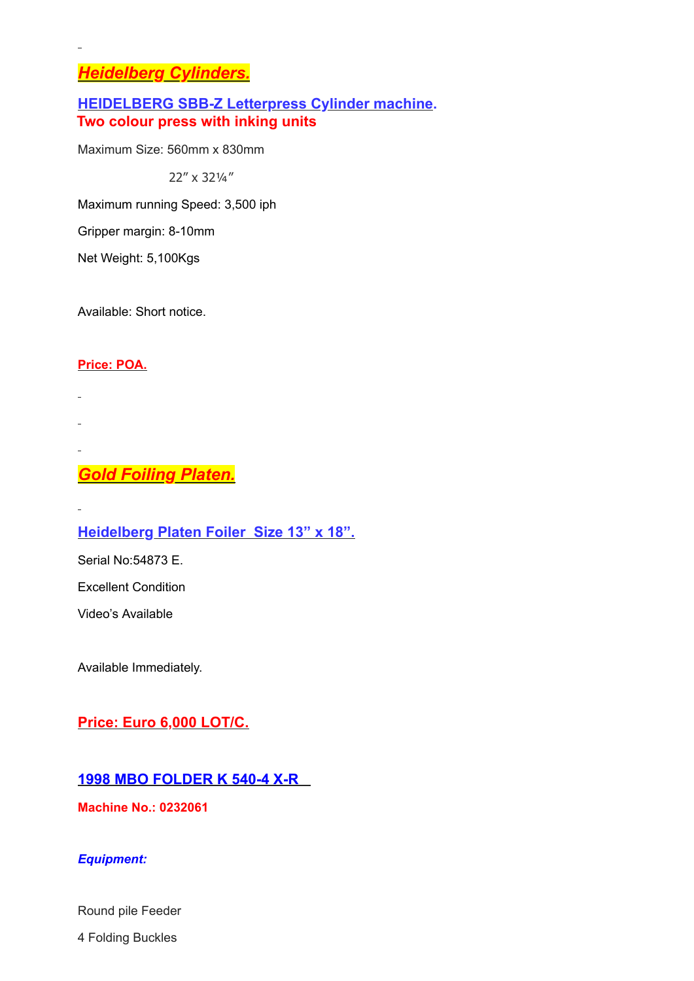# *Heidelberg Cylinders.*

## **HEIDELBERG SBB-Z Letterpress Cylinder machine. Two colour press with inking units**

Maximum Size: 560mm x 830mm

22" x 32¼"

Maximum running Speed: 3,500 iph

Gripper margin: 8-10mm

Net Weight: 5,100Kgs

Available: Short notice.

## **Price: POA.**

# *Gold Foiling Platen.*

# **Heidelberg Platen Foiler Size 13" x 18".**

Serial No:54873 E.

Excellent Condition

Video's Available

Available Immediately.

# **Price: Euro 6,000 LOT/C.**

## **1998 MBO FOLDER K 540-4 X-R**

**Machine No.: 0232061**

#### *Equipment:*

Round pile Feeder

4 Folding Buckles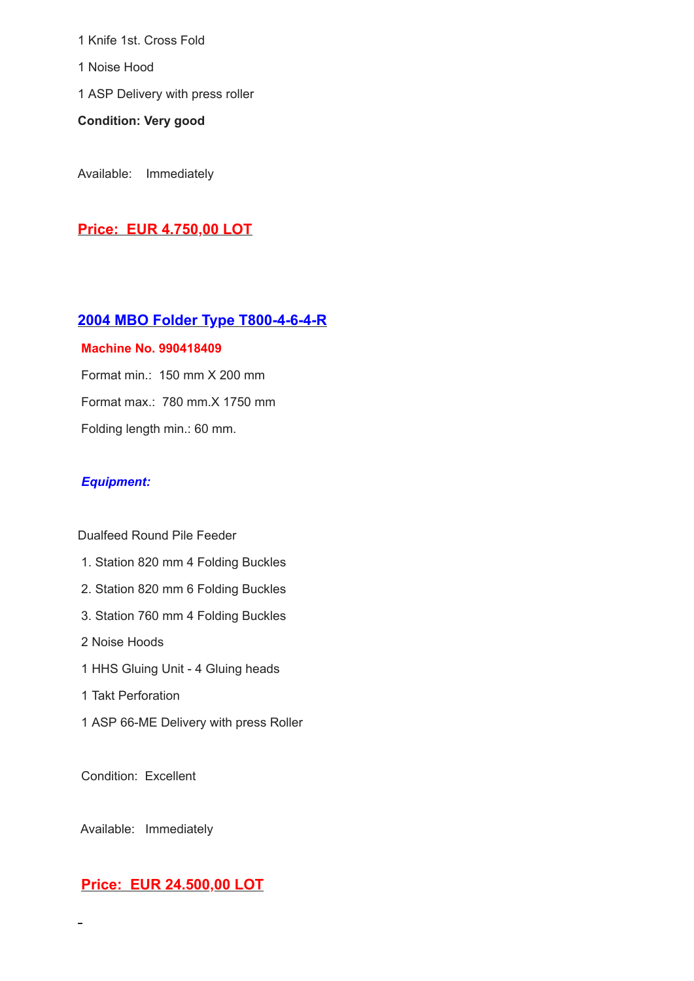1 Knife 1st. Cross Fold

1 Noise Hood

1 ASP Delivery with press roller

**Condition: Very good**

Available: Immediately

# **Price: EUR 4.750,00 LOT**

## **2004 MBO Folder Type T800-4-6-4-R**

#### **Machine No. 990418409**

Format min.: 150 mm X 200 mm Format max.: 780 mm.X 1750 mm Folding length min.: 60 mm.

## *Equipment:*

#### Dualfeed Round Pile Feeder

- 1. Station 820 mm 4 Folding Buckles
- 2. Station 820 mm 6 Folding Buckles
- 3. Station 760 mm 4 Folding Buckles
- 2 Noise Hoods
- 1 HHS Gluing Unit 4 Gluing heads
- 1 Takt Perforation
- 1 ASP 66-ME Delivery with press Roller

Condition: Excellent

Available: Immediately

 $\blacksquare$ 

# **Price: EUR 24.500,00 LOT**